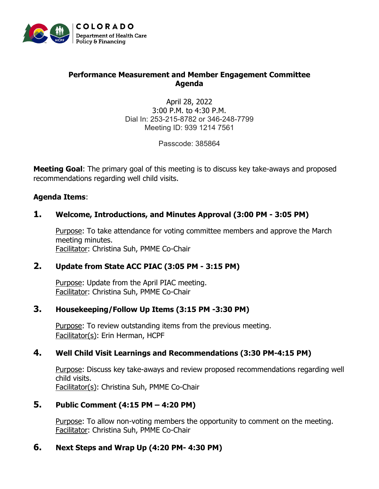

# **Performance Measurement and Member Engagement Committee Agenda**

April 28, 2022 3:00 P.M. to 4:30 P.M. Dial In: 253-215-8782 or 346-248-7799 Meeting ID: 939 1214 7561

Passcode: 385864

**Meeting Goal**: The primary goal of this meeting is to discuss key take-aways and proposed recommendations regarding well child visits.

### **Agenda Items**:

# **1. Welcome, Introductions, and Minutes Approval (3:00 PM - 3:05 PM)**

Purpose: To take attendance for voting committee members and approve the March meeting minutes. Facilitator: Christina Suh, PMME Co-Chair

# **2. Update from State ACC PIAC (3:05 PM - 3:15 PM)**

Purpose: Update from the April PIAC meeting. Facilitator: Christina Suh, PMME Co-Chair

#### **3. Housekeeping/Follow Up Items (3:15 PM -3:30 PM)**

Purpose: To review outstanding items from the previous meeting. Facilitator(s): Erin Herman, HCPF

# **4. Well Child Visit Learnings and Recommendations (3:30 PM-4:15 PM)**

Purpose: Discuss key take-aways and review proposed recommendations regarding well child visits. Facilitator(s): Christina Suh, PMME Co-Chair

# **5. Public Comment (4:15 PM – 4:20 PM)**

Purpose: To allow non-voting members the opportunity to comment on the meeting. Facilitator: Christina Suh, PMME Co-Chair

# **6. Next Steps and Wrap Up (4:20 PM- 4:30 PM)**